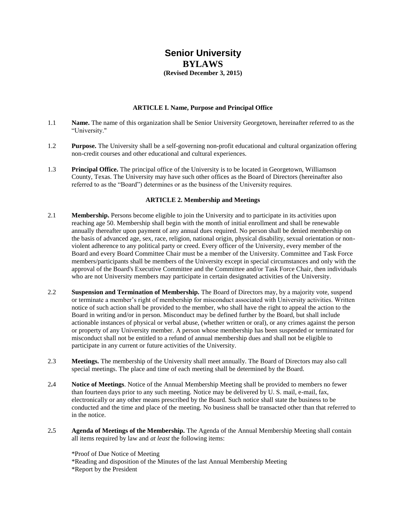# **Senior University BYLAWS (Revised December 3, 2015)**

# **ARTICLE I. Name, Purpose and Principal Office**

- 1.1 **Name.** The name of this organization shall be Senior University Georgetown, hereinafter referred to as the "University."
- 1.2 **Purpose.** The University shall be a self-governing non-profit educational and cultural organization offering non-credit courses and other educational and cultural experiences.
- 1.3 **Principal Office.** The principal office of the University is to be located in Georgetown, Williamson County, Texas. The University may have such other offices as the Board of Directors (hereinafter also referred to as the "Board") determines or as the business of the University requires.

#### **ARTICLE 2. Membership and Meetings**

- 2.1 **Membership.** Persons become eligible to join the University and to participate in its activities upon reaching age 50. Membership shall begin with the month of initial enrollment and shall be renewable annually thereafter upon payment of any annual dues required. No person shall be denied membership on the basis of advanced age, sex, race, religion, national origin, physical disability, sexual orientation or nonviolent adherence to any political party or creed. Every officer of the University, every member of the Board and every Board Committee Chair must be a member of the University. Committee and Task Force members/participants shall be members of the University except in special circumstances and only with the approval of the Board's Executive Committee and the Committee and/or Task Force Chair, then individuals who are not University members may participate in certain designated activities of the University.
- 2.2 **Suspension and Termination of Membership.** The Board of Directors may, by a majority vote, suspend or terminate a member's right of membership for misconduct associated with University activities. Written notice of such action shall be provided to the member, who shall have the right to appeal the action to the Board in writing and/or in person. Misconduct may be defined further by the Board, but shall include actionable instances of physical or verbal abuse, (whether written or oral), or any crimes against the person or property of any University member. A person whose membership has been suspended or terminated for misconduct shall not be entitled to a refund of annual membership dues and shall not be eligible to participate in any current or future activities of the University.
- 2.3 **Meetings.** The membership of the University shall meet annually. The Board of Directors may also call special meetings. The place and time of each meeting shall be determined by the Board.
- 2**.**4 **Notice of Meetings**. Notice of the Annual Membership Meeting shall be provided to members no fewer than fourteen days prior to any such meeting. Notice may be delivered by U. S. mail, e-mail, fax, electronically or any other means prescribed by the Board. Such notice shall state the business to be conducted and the time and place of the meeting. No business shall be transacted other than that referred to in the notice.
- 2**.**5 **Agenda of Meetings of the Membership.** The Agenda of the Annual Membership Meeting shall contain all items required by law and *at least* the following items:
	- \*Proof of Due Notice of Meeting
	- \*Reading and disposition of the Minutes of the last Annual Membership Meeting
	- \*Report by the President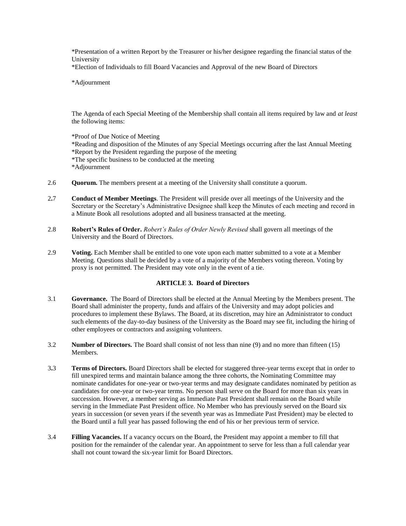\*Presentation of a written Report by the Treasurer or his/her designee regarding the financial status of the University

\*Election of Individuals to fill Board Vacancies and Approval of the new Board of Directors

\*Adjournment

The Agenda of each Special Meeting of the Membership shall contain all items required by law and *at least* the following items:

\*Proof of Due Notice of Meeting

\*Reading and disposition of the Minutes of any Special Meetings occurring after the last Annual Meeting \*Report by the President regarding the purpose of the meeting

\*The specific business to be conducted at the meeting

- \*Adjournment
- 2.6 **Quorum.** The members present at a meeting of the University shall constitute a quorum.
- 2**.**7 **Conduct of Member Meetings**. The President will preside over all meetings of the University and the Secretary or the Secretary's Administrative Designee shall keep the Minutes of each meeting and record in a Minute Book all resolutions adopted and all business transacted at the meeting.
- 2.8 **Robert's Rules of Order.** *Robert's Rules of Order Newly Revised* shall govern all meetings of the University and the Board of Directors.
- 2.9 **Voting.** Each Member shall be entitled to one vote upon each matter submitted to a vote at a Member Meeting. Questions shall be decided by a vote of a majority of the Members voting thereon. Voting by proxy is not permitted. The President may vote only in the event of a tie.

# **ARTICLE 3. Board of Directors**

- 3.1 **Governance.** The Board of Directors shall be elected at the Annual Meeting by the Members present. The Board shall administer the property, funds and affairs of the University and may adopt policies and procedures to implement these Bylaws. The Board, at its discretion, may hire an Administrator to conduct such elements of the day-to-day business of the University as the Board may see fit, including the hiring of other employees or contractors and assigning volunteers.
- 3.2 **Number of Directors.** The Board shall consist of not less than nine (9) and no more than fifteen (15) Members.
- 3**.**3 **Terms of Directors.** Board Directors shall be elected for staggered three-year terms except that in order to fill unexpired terms and maintain balance among the three cohorts, the Nominating Committee may nominate candidates for one-year or two-year terms and may designate candidates nominated by petition as candidates for one-year or two-year terms. No person shall serve on the Board for more than six years in succession. However, a member serving as Immediate Past President shall remain on the Board while serving in the Immediate Past President office. No Member who has previously served on the Board six years in succession (or seven years if the seventh year was as Immediate Past President) may be elected to the Board until a full year has passed following the end of his or her previous term of service.
- 3.4 **Filling Vacancies.** If a vacancy occurs on the Board, the President may appoint a member to fill that position for the remainder of the calendar year. An appointment to serve for less than a full calendar year shall not count toward the six-year limit for Board Directors.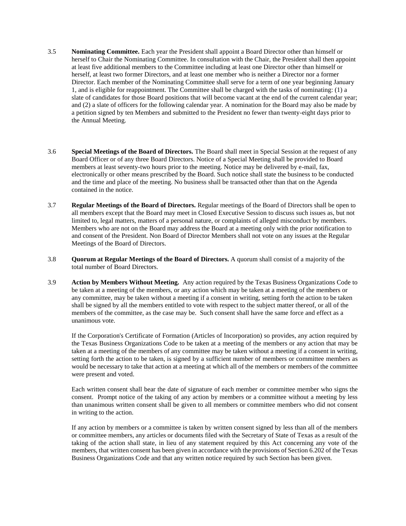- 3.5 **Nominating Committee.** Each year the President shall appoint a Board Director other than himself or herself to Chair the Nominating Committee. In consultation with the Chair, the President shall then appoint at least five additional members to the Committee including at least one Director other than himself or herself, at least two former Directors, and at least one member who is neither a Director nor a former Director. Each member of the Nominating Committee shall serve for a term of one year beginning January 1, and is eligible for reappointment. The Committee shall be charged with the tasks of nominating: (1) a slate of candidates for those Board positions that will become vacant at the end of the current calendar year; and (2) a slate of officers for the following calendar year. A nomination for the Board may also be made by a petition signed by ten Members and submitted to the President no fewer than twenty-eight days prior to the Annual Meeting.
- 3.6 **Special Meetings of the Board of Directors.** The Board shall meet in Special Session at the request of any Board Officer or of any three Board Directors. Notice of a Special Meeting shall be provided to Board members at least seventy-two hours prior to the meeting. Notice may be delivered by e-mail, fax, electronically or other means prescribed by the Board. Such notice shall state the business to be conducted and the time and place of the meeting. No business shall be transacted other than that on the Agenda contained in the notice.
- 3.7 **Regular Meetings of the Board of Directors.** Regular meetings of the Board of Directors shall be open to all members except that the Board may meet in Closed Executive Session to discuss such issues as, but not limited to, legal matters, matters of a personal nature, or complaints of alleged misconduct by members. Members who are not on the Board may address the Board at a meeting only with the prior notification to and consent of the President. Non Board of Director Members shall not vote on any issues at the Regular Meetings of the Board of Directors.
- 3.8 **Quorum at Regular Meetings of the Board of Directors.** A quorum shall consist of a majority of the total number of Board Directors.
- 3.9 **Action by Members Without Meeting.** Any action required by the Texas Business Organizations Code to be taken at a meeting of the members, or any action which may be taken at a meeting of the members or any committee, may be taken without a meeting if a consent in writing, setting forth the action to be taken shall be signed by all the members entitled to vote with respect to the subject matter thereof, or all of the members of the committee, as the case may be. Such consent shall have the same force and effect as a unanimous vote.

If the Corporation's Certificate of Formation (Articles of Incorporation) so provides, any action required by the Texas Business Organizations Code to be taken at a meeting of the members or any action that may be taken at a meeting of the members of any committee may be taken without a meeting if a consent in writing, setting forth the action to be taken, is signed by a sufficient number of members or committee members as would be necessary to take that action at a meeting at which all of the members or members of the committee were present and voted.

Each written consent shall bear the date of signature of each member or committee member who signs the consent. Prompt notice of the taking of any action by members or a committee without a meeting by less than unanimous written consent shall be given to all members or committee members who did not consent in writing to the action.

If any action by members or a committee is taken by written consent signed by less than all of the members or committee members, any articles or documents filed with the Secretary of State of Texas as a result of the taking of the action shall state, in lieu of any statement required by this Act concerning any vote of the members, that written consent has been given in accordance with the provisions of Section 6.202 of the Texas Business Organizations Code and that any written notice required by such Section has been given.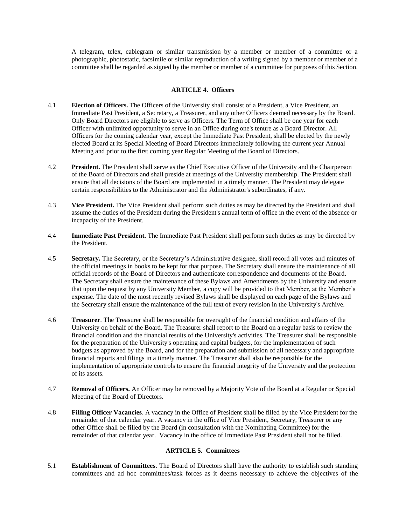A telegram, telex, cablegram or similar transmission by a member or member of a committee or a photographic, photostatic, facsimile or similar reproduction of a writing signed by a member or member of a committee shall be regarded as signed by the member or member of a committee for purposes of this Section.

# **ARTICLE 4. Officers**

- 4.1 **Election of Officers.** The Officers of the University shall consist of a President, a Vice President, an Immediate Past President, a Secretary, a Treasurer, and any other Officers deemed necessary by the Board. Only Board Directors are eligible to serve as Officers. The Term of Office shall be one year for each Officer with unlimited opportunity to serve in an Office during one's tenure as a Board Director. All Officers for the coming calendar year, except the Immediate Past President, shall be elected by the newly elected Board at its Special Meeting of Board Directors immediately following the current year Annual Meeting and prior to the first coming year Regular Meeting of the Board of Directors.
- 4.2 **President.** The President shall serve as the Chief Executive Officer of the University and the Chairperson of the Board of Directors and shall preside at meetings of the University membership. The President shall ensure that all decisions of the Board are implemented in a timely manner. The President may delegate certain responsibilities to the Administrator and the Administrator's subordinates, if any.
- 4.3 **Vice President.** The Vice President shall perform such duties as may be directed by the President and shall assume the duties of the President during the President's annual term of office in the event of the absence or incapacity of the President.
- 4.4 **Immediate Past President.** The Immediate Past President shall perform such duties as may be directed by the President.
- 4.5 **Secretary.** The Secretary, or the Secretary's Administrative designee, shall record all votes and minutes of the official meetings in books to be kept for that purpose. The Secretary shall ensure the maintenance of all official records of the Board of Directors and authenticate correspondence and documents of the Board. The Secretary shall ensure the maintenance of these Bylaws and Amendments by the University and ensure that upon the request by any University Member, a copy will be provided to that Member, at the Member's expense. The date of the most recently revised Bylaws shall be displayed on each page of the Bylaws and the Secretary shall ensure the maintenance of the full text of every revision in the University's Archive.
- 4.6 **Treasurer**. The Treasurer shall be responsible for oversight of the financial condition and affairs of the University on behalf of the Board. The Treasurer shall report to the Board on a regular basis to review the financial condition and the financial results of the University's activities. The Treasurer shall be responsible for the preparation of the University's operating and capital budgets, for the implementation of such budgets as approved by the Board, and for the preparation and submission of all necessary and appropriate financial reports and filings in a timely manner. The Treasurer shall also be responsible for the implementation of appropriate controls to ensure the financial integrity of the University and the protection of its assets.
- 4.7 **Removal of Officers.** An Officer may be removed by a Majority Vote of the Board at a Regular or Special Meeting of the Board of Directors.
- 4.8 **Filling Officer Vacancies**. A vacancy in the Office of President shall be filled by the Vice President for the remainder of that calendar year. A vacancy in the office of Vice President, Secretary, Treasurer or any other Office shall be filled by the Board (in consultation with the Nominating Committee) for the remainder of that calendar year. Vacancy in the office of Immediate Past President shall not be filled.

# **ARTICLE 5. Committees**

5.1 **Establishment of Committees.** The Board of Directors shall have the authority to establish such standing committees and ad hoc committees/task forces as it deems necessary to achieve the objectives of the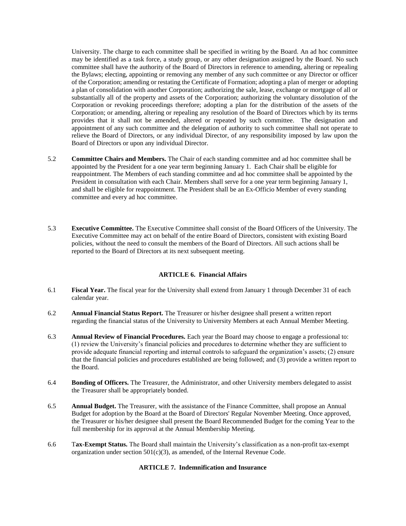University. The charge to each committee shall be specified in writing by the Board. An ad hoc committee may be identified as a task force, a study group, or any other designation assigned by the Board. No such committee shall have the authority of the Board of Directors in reference to amending, altering or repealing the Bylaws; electing, appointing or removing any member of any such committee or any Director or officer of the Corporation; amending or restating the Certificate of Formation; adopting a plan of merger or adopting a plan of consolidation with another Corporation; authorizing the sale, lease, exchange or mortgage of all or substantially all of the property and assets of the Corporation; authorizing the voluntary dissolution of the Corporation or revoking proceedings therefore; adopting a plan for the distribution of the assets of the Corporation; or amending, altering or repealing any resolution of the Board of Directors which by its terms provides that it shall not be amended, altered or repeated by such committee. The designation and appointment of any such committee and the delegation of authority to such committee shall not operate to relieve the Board of Directors, or any individual Director, of any responsibility imposed by law upon the Board of Directors or upon any individual Director.

- 5.2 **Committee Chairs and Members.** The Chair of each standing committee and ad hoc committee shall be appointed by the President for a one year term beginning January 1. Each Chair shall be eligible for reappointment. The Members of each standing committee and ad hoc committee shall be appointed by the President in consultation with each Chair. Members shall serve for a one year term beginning January 1, and shall be eligible for reappointment. The President shall be an Ex-Officio Member of every standing committee and every ad hoc committee.
- 5.3 **Executive Committee.** The Executive Committee shall consist of the Board Officers of the University. The Executive Committee may act on behalf of the entire Board of Directors, consistent with existing Board policies, without the need to consult the members of the Board of Directors. All such actions shall be reported to the Board of Directors at its next subsequent meeting.

#### **ARTICLE 6. Financial Affairs**

- 6.1 **Fiscal Year.** The fiscal year for the University shall extend from January 1 through December 31 of each calendar year.
- 6.2 **Annual Financial Status Report.** The Treasurer or his/her designee shall present a written report regarding the financial status of the University to University Members at each Annual Member Meeting.
- 6.3 **Annual Review of Financial Procedures.** Each year the Board may choose to engage a professional to: (1) review the University's financial policies and procedures to determine whether they are sufficient to provide adequate financial reporting and internal controls to safeguard the organization's assets; (2) ensure that the financial policies and procedures established are being followed; and (3) provide a written report to the Board.
- 6.4 **Bonding of Officers.** The Treasurer, the Administrator, and other University members delegated to assist the Treasurer shall be appropriately bonded.
- 6.5 **Annual Budget.** The Treasurer, with the assistance of the Finance Committee, shall propose an Annual Budget for adoption by the Board at the Board of Directors' Regular November Meeting. Once approved, the Treasurer or his/her designee shall present the Board Recommended Budget for the coming Year to the full membership for its approval at the Annual Membership Meeting.
- 6.6 T**ax-Exempt Status.** The Board shall maintain the University's classification as a non-profit tax-exempt organization under section  $501(c)(3)$ , as amended, of the Internal Revenue Code.

#### **ARTICLE 7. Indemnification and Insurance**